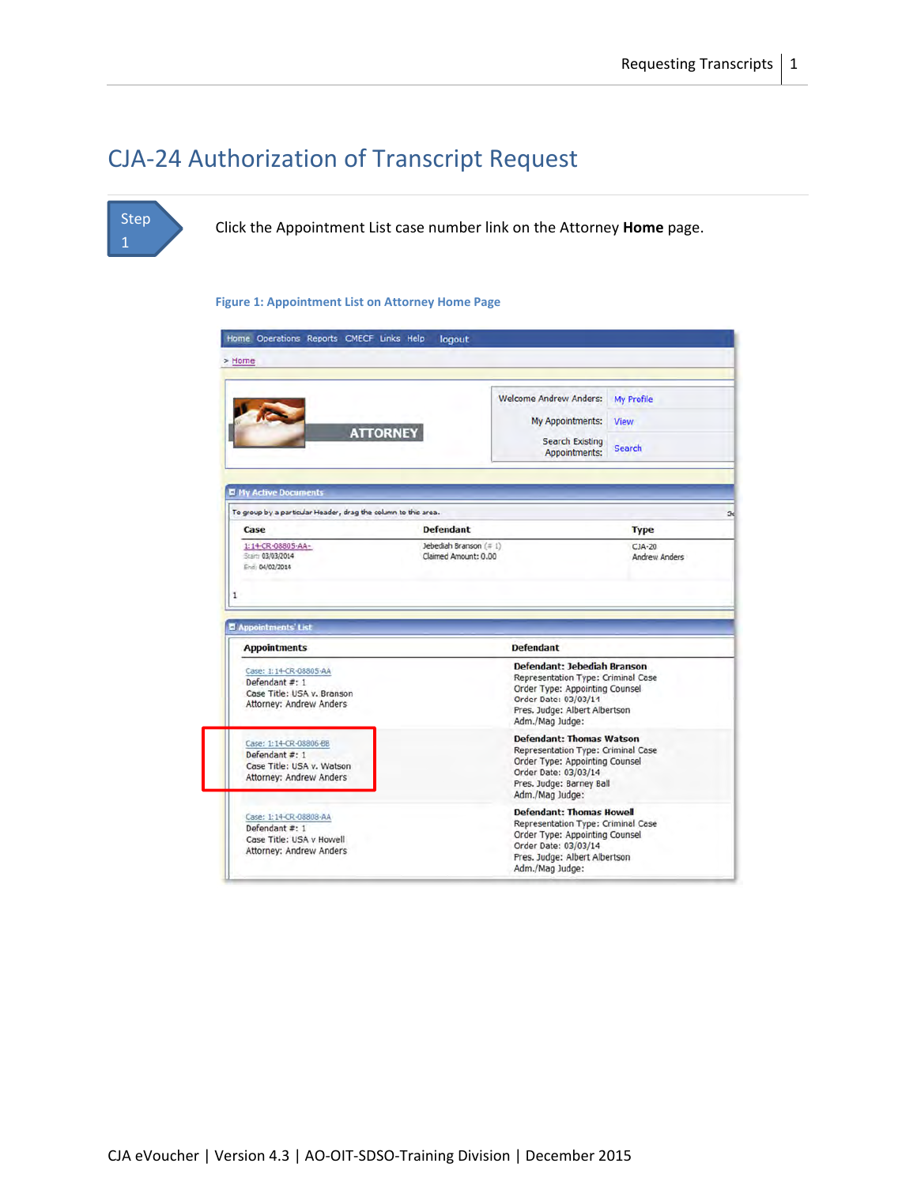## CJA‐24 Authorization of Transcript Request

### Step 1

Click the Appointment List case number link on the Attorney **Home** page.

#### **Figure 1: Appointment List on Attorney Home Page**

|                                                                                                                                                          |                                               | <b>Welcome Andrew Anders:</b><br>My Appointments:                                                                                                                               | <b>My Profile</b><br><b>View</b>         |
|----------------------------------------------------------------------------------------------------------------------------------------------------------|-----------------------------------------------|---------------------------------------------------------------------------------------------------------------------------------------------------------------------------------|------------------------------------------|
| <b>ATTORNEY</b>                                                                                                                                          |                                               | <b>Search Existing</b><br>Appointments:                                                                                                                                         | <b>Search</b>                            |
| <b>El My Active Documents</b>                                                                                                                            |                                               |                                                                                                                                                                                 |                                          |
| To group by a particular Header, drag the column to this area.<br>Case                                                                                   | <b>Defendant</b>                              |                                                                                                                                                                                 |                                          |
| 1:14-CR-08805-AA-<br>Start: 03/03/2014<br>End: 04/02/2014                                                                                                | Jebediah Branson (#1)<br>Claimed Amount: 0.00 |                                                                                                                                                                                 | <b>Type</b><br>$CJA-20$<br>Andrew Anders |
|                                                                                                                                                          |                                               |                                                                                                                                                                                 |                                          |
|                                                                                                                                                          |                                               | <b>Defendant</b>                                                                                                                                                                |                                          |
| <b>El Appointments' List</b><br><b>Appointments</b><br>Case: 1:14-CR-08805-AA<br>Defendant #: 1<br>Case Title: USA v. Branson<br>Attorney: Andrew Anders |                                               | Defendant: Jebediah Branson<br>Representation Type: Criminal Case<br>Order Type: Appointing Counsel<br>Order Date: 03/03/14<br>Pres. Judge: Albert Albertson<br>Adm./Mag Judge: |                                          |
| Case: 1:14-CR-08806-BB<br>Defendant #: 1<br>Case Title: USA v. Watson<br><b>Attorney: Andrew Anders</b>                                                  |                                               | <b>Defendant: Thomas Watson</b><br>Representation Type: Criminal Case<br>Order Type: Appointing Counsel<br>Order Date: 03/03/14<br>Pres. Judge: Barney Ball<br>Adm./Mag Judge:  |                                          |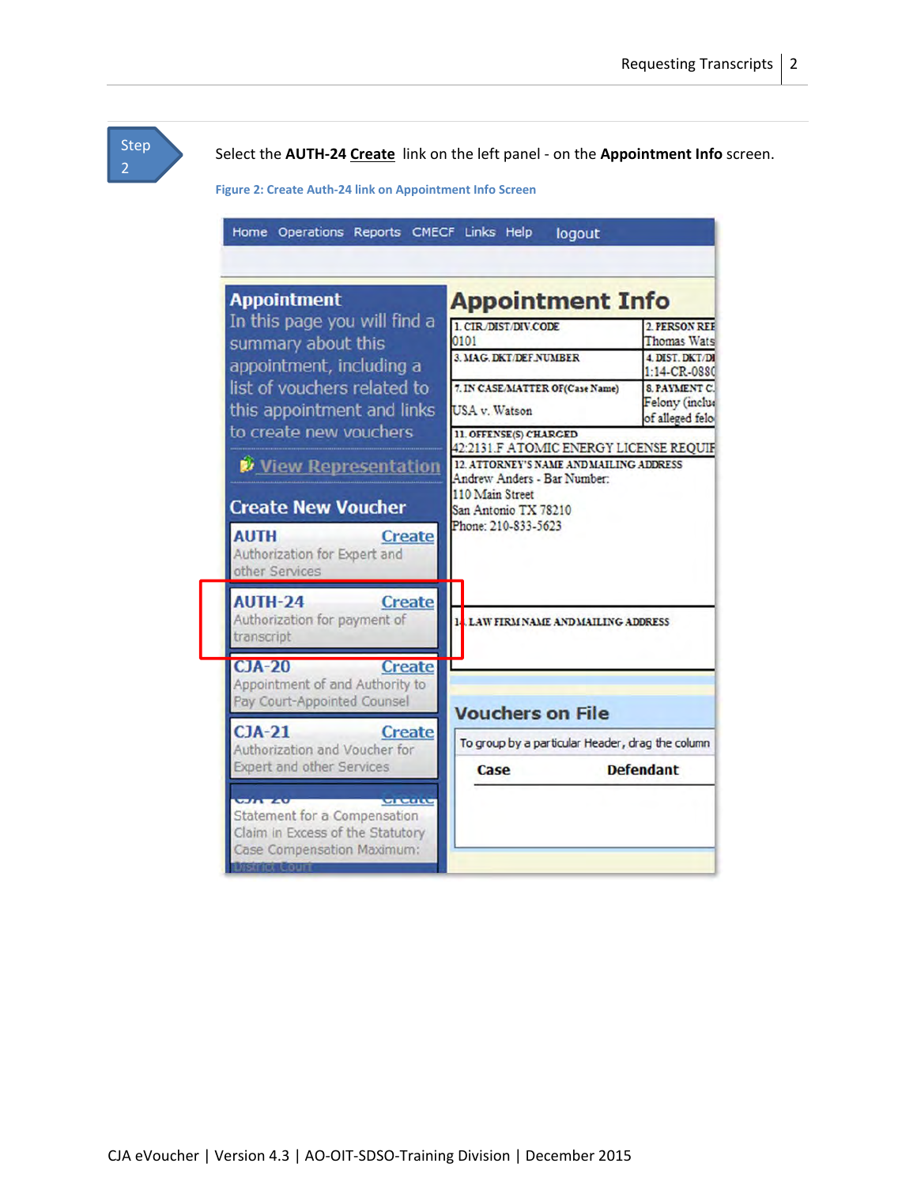Step 2

Select the **AUTH‐24 Create** link on the left panel ‐ on the **Appointment Info** screen.

**Figure 2: Create Auth‐24 link on Appointment Info Screen**

| <b>Appointment</b>                                                                          | <b>Appointment Info</b>                                                |                                                        |
|---------------------------------------------------------------------------------------------|------------------------------------------------------------------------|--------------------------------------------------------|
| In this page you will find a<br>summary about this                                          | 1. CIR DIST/DIV.CODE<br>0101                                           | 2. PERSON REE<br><b>Thomas Wats</b>                    |
| appointment, including a                                                                    | 3. MAG. DKT/DEF.NUMBER                                                 | <b>4 DIST DKT/DI</b><br>$1:14$ -CR-0880                |
| list of vouchers related to<br>this appointment and links                                   | 7. IN CASE/MATTER OF(Case Name)<br><b>USA</b> v. Watson                | <b>SPAVMENT C</b><br>Felony (inclus<br>of alleged felo |
| to create new vouchers                                                                      | 11. OFFENSE(S) CHARGED<br>42:2131.F ATOMIC ENERGY LICENSE REQUIF       |                                                        |
| View Representation                                                                         | 12. ATTORNEY'S NAME AND MAILING ADDRESS<br>Andrew Anders - Bar Number: |                                                        |
| <b>Create New Voucher</b>                                                                   | 110 Main Street<br>San Antonio TX 78210                                |                                                        |
| <b>AUTH</b><br><b>Create</b><br>Authorization for Expert and<br>other Services              | Phone: 210-833-5623                                                    |                                                        |
| <b>AUTH-24</b><br><b>Create</b><br>Authorization for payment of<br>transcript               | LAW FIRM NAME AND MAILING ADDRESS                                      |                                                        |
| $CJA-20$<br><b>Create</b><br>Appointment of and Authority to<br>Pay Court-Appointed Counsel | <b>Vouchers on File</b>                                                |                                                        |
| $CJA-21$<br><b>Create</b>                                                                   | To group by a particular Header, drag the column                       |                                                        |
| Authorization and Voucher for<br><b>Expert and other Services</b>                           | Case                                                                   | <b>Defendant</b>                                       |
| <b>WALK WALK</b><br><b>MARILLY</b>                                                          |                                                                        |                                                        |
| Statement for a Compensation<br>Claim in Excess of the Statutory                            |                                                                        |                                                        |
| Case Compensation Maximum:<br>strict Cour                                                   |                                                                        |                                                        |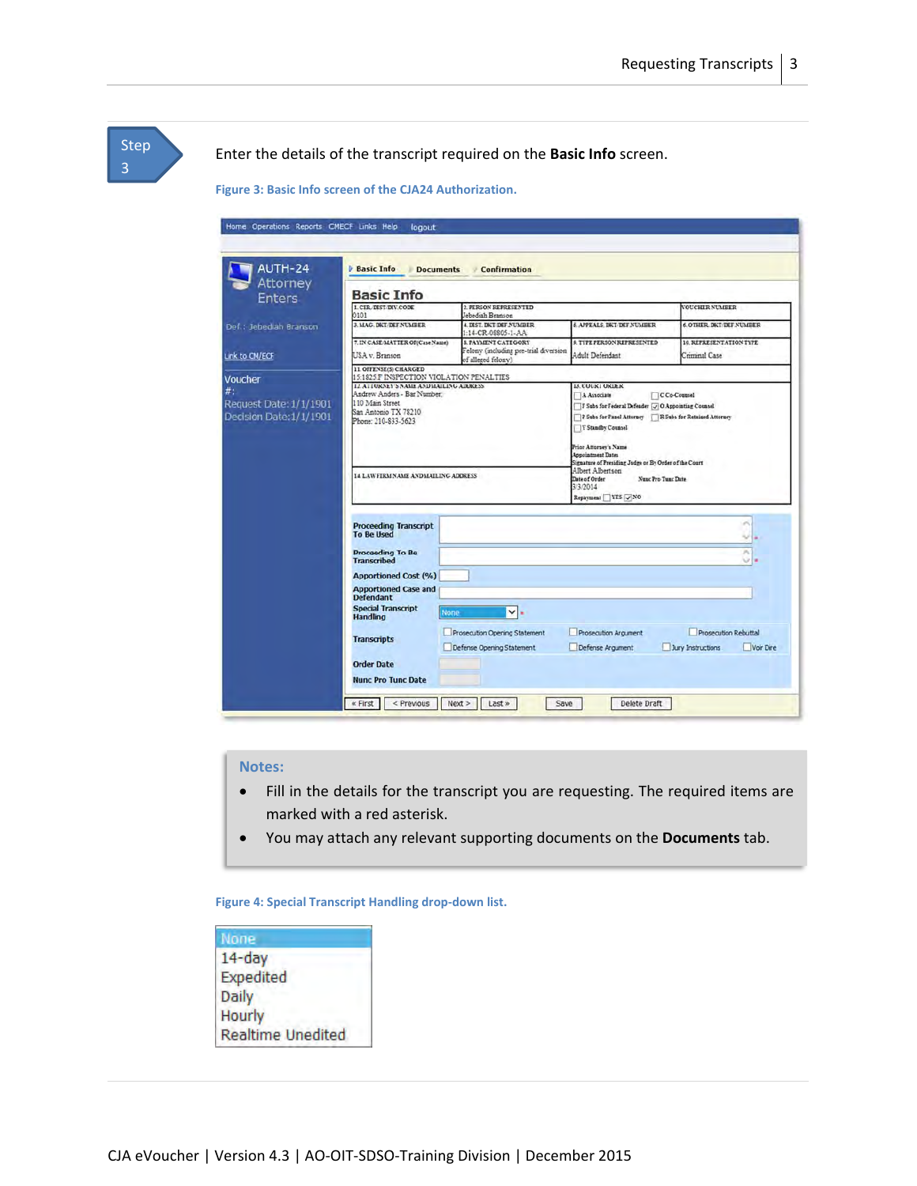| Home Operations Reports CMECF Links Help                | logout                                                                                                                                   |                                                                                           |                                                                                                                                                                                                                                                                                           |                                          |
|---------------------------------------------------------|------------------------------------------------------------------------------------------------------------------------------------------|-------------------------------------------------------------------------------------------|-------------------------------------------------------------------------------------------------------------------------------------------------------------------------------------------------------------------------------------------------------------------------------------------|------------------------------------------|
|                                                         |                                                                                                                                          |                                                                                           |                                                                                                                                                                                                                                                                                           |                                          |
| AUTH-24                                                 | <b>Basic Info</b><br><b>Documents</b>                                                                                                    | <b>Confirmation</b>                                                                       |                                                                                                                                                                                                                                                                                           |                                          |
| Attorney<br><b>Enters</b>                               | <b>Basic Info</b>                                                                                                                        |                                                                                           |                                                                                                                                                                                                                                                                                           |                                          |
|                                                         | <b>L. CIR. DIST/DIV.CODE</b><br>0101                                                                                                     | 2. PERSON REPRESENTED<br>Jebediah Branson                                                 |                                                                                                                                                                                                                                                                                           | <b>VOUCHER NUMBER</b>                    |
| Def.: Jebediah Branson                                  | <b>3. MAG. DET/DEF.NUMBER</b>                                                                                                            | <b>4. DIST. DKT/DEF.NUMBER</b><br>1:14-CR-08805-1-AA                                      | <b>5. APPEALS, DKT DEF NUMBER</b>                                                                                                                                                                                                                                                         | 6. OTHER DKT DEF NUMBER                  |
| Link to CM/ECF                                          | 7. IN CASE MATTER OF(Case Name)<br>USA v. Branson                                                                                        | <b>8. PAYMENT CATEGORY</b><br>Felony (including pre-trial diversion<br>of alleged felony) | 9. TYPE PERSON REPRESENTED<br>Adult Defendant                                                                                                                                                                                                                                             | 10. REPRESENTATION TYPE<br>Criminal Case |
| Voucher                                                 | 11. OFFENSE(S) CHARGED<br>15:1825.F INSPECTION VIOLATION PENALTIES                                                                       |                                                                                           |                                                                                                                                                                                                                                                                                           |                                          |
| #:<br>Request Date: 1/1/1901<br>Decision Date: 1/1/1901 | 12. ATTORNEY'S NAME AND MAILING ADDRESS<br>Andrew Anders - Bar Number.<br>110 Main Street<br>San Antonio TX 78210<br>Phone: 210-833-5623 |                                                                                           | <b>13. COURT ORDER</b><br>A Associate<br>F Subs for Federal Defender (J O Appointing Counsel<br>P Subs for Panel Attorney R Subs for Retained Attorney<br>Y Standby Counsel<br>Prior Attorney's Name<br><b>Appointment Dates</b><br>Signature of Presiding Judge or By Order of the Court | C Co-Counsel                             |
|                                                         | 14 LAW FIRM NAME AND MAILING ADDRESS                                                                                                     |                                                                                           | Albert Albertson<br>Date of Order<br>Nunc Pro Tunc Date<br>3/3/2014<br>Repayment YES VNO                                                                                                                                                                                                  |                                          |
|                                                         | <b>Proceeding Transcript</b>                                                                                                             |                                                                                           |                                                                                                                                                                                                                                                                                           | $\sigma$                                 |
|                                                         | <b>To Be Used</b>                                                                                                                        |                                                                                           |                                                                                                                                                                                                                                                                                           | Ψ                                        |
|                                                         | <b>Proceeding To Be</b><br><b>Transcribed</b>                                                                                            |                                                                                           |                                                                                                                                                                                                                                                                                           | ×<br>w                                   |
|                                                         | <b>Apportioned Cost (%)</b>                                                                                                              |                                                                                           |                                                                                                                                                                                                                                                                                           |                                          |
|                                                         | <b>Apportioned Case and</b><br><b>Defendant</b>                                                                                          |                                                                                           |                                                                                                                                                                                                                                                                                           |                                          |
|                                                         | <b>Special Transcript</b><br>None<br><b>Handling</b>                                                                                     | $\vee$ .                                                                                  |                                                                                                                                                                                                                                                                                           |                                          |
|                                                         |                                                                                                                                          | Prosecution Opening Statement                                                             | Prosecution Argument                                                                                                                                                                                                                                                                      | Prosecution Rebuttal                     |
|                                                         | <b>Transcripts</b>                                                                                                                       | Defense Opening Statement                                                                 | Defense Argument                                                                                                                                                                                                                                                                          | Jury Instructions<br>Voir Dire           |

#### **Notes:**

- Fill in the details for the transcript you are requesting. The required items are marked with a red asterisk.
- You may attach any relevant supporting documents on the **Documents** tab.

**Figure 4: Special Transcript Handling drop‐down list.**

| None                     |  |
|--------------------------|--|
| $14$ -day                |  |
| Expedited                |  |
| Daily                    |  |
| Hourly                   |  |
| <b>Realtime Unedited</b> |  |